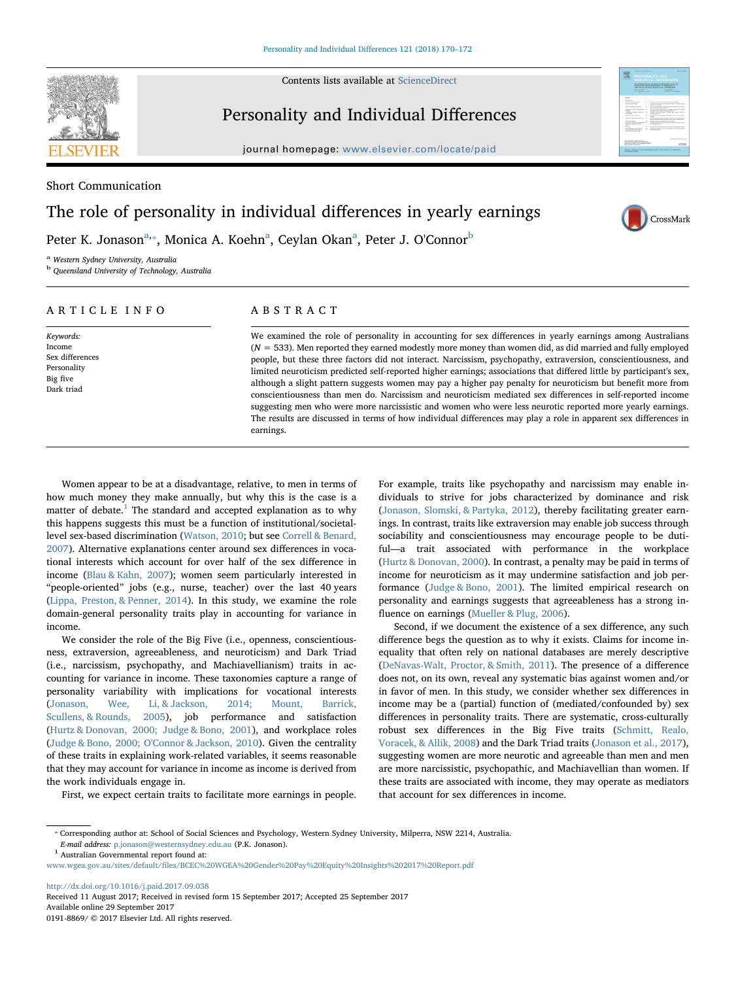Contents lists available at [ScienceDirect](http://www.sciencedirect.com/science/journal/01918869)



# Personality and Individual Differences

journal homepage: [www.elsevier.com/locate/paid](https://www.elsevier.com/locate/paid)

Short Communication

# The role of personality in individual differences in yearly earnings

Peter K. Jonason<sup>[a,](#page-0-0)</sup>\*, Monic[a](#page-0-0) A. Koehn<sup>a</sup>, Ceylan Okan<sup>a</sup>, Peter J. O'Connor<sup>[b](#page-0-2)</sup>

<span id="page-0-0"></span><sup>a</sup> Western Sydney University, Australia

<span id="page-0-2"></span><sup>b</sup> Queensland University of Technology, Australia

# ARTICLE INFO

Keywords: Income Sex differences Personality Big five Dark triad

# ABSTRACT

We examined the role of personality in accounting for sex differences in yearly earnings among Australians  $(N = 533)$ . Men reported they earned modestly more money than women did, as did married and fully employed people, but these three factors did not interact. Narcissism, psychopathy, extraversion, conscientiousness, and limited neuroticism predicted self-reported higher earnings; associations that differed little by participant's sex, although a slight pattern suggests women may pay a higher pay penalty for neuroticism but benefit more from conscientiousness than men do. Narcissism and neuroticism mediated sex differences in self-reported income suggesting men who were more narcissistic and women who were less neurotic reported more yearly earnings. The results are discussed in terms of how individual differences may play a role in apparent sex differences in earnings.

Women appear to be at a disadvantage, relative, to men in terms of how much money they make annually, but why this is the case is a matter of debate.<sup>[1](#page-0-3)</sup> The standard and accepted explanation as to why this happens suggests this must be a function of institutional/societallevel sex-based discrimination ([Watson, 2010](#page-2-0); but see [Correll & Benard,](#page-2-1) [2007\)](#page-2-1). Alternative explanations center around sex differences in vocational interests which account for over half of the sex difference in income [\(Blau & Kahn, 2007](#page-2-2)); women seem particularly interested in "people-oriented" jobs (e.g., nurse, teacher) over the last 40 years ([Lippa, Preston, & Penner, 2014\)](#page-2-3). In this study, we examine the role domain-general personality traits play in accounting for variance in income.

We consider the role of the Big Five (i.e., openness, conscientiousness, extraversion, agreeableness, and neuroticism) and Dark Triad (i.e., narcissism, psychopathy, and Machiavellianism) traits in accounting for variance in income. These taxonomies capture a range of personality variability with implications for vocational interests ([Jonason, Wee, Li, & Jackson, 2014; Mount, Barrick,](#page-2-4) [Scullens, & Rounds, 2005\)](#page-2-4), job performance and satisfaction ([Hurtz & Donovan, 2000; Judge & Bono, 2001](#page-2-5)), and workplace roles ([Judge & Bono, 2000; O'Connor & Jackson, 2010](#page-2-6)). Given the centrality of these traits in explaining work-related variables, it seems reasonable that they may account for variance in income as income is derived from the work individuals engage in.

First, we expect certain traits to facilitate more earnings in people.

For example, traits like psychopathy and narcissism may enable individuals to strive for jobs characterized by dominance and risk ([Jonason, Slomski, & Partyka, 2012](#page-2-7)), thereby facilitating greater earnings. In contrast, traits like extraversion may enable job success through sociability and conscientiousness may encourage people to be dutiful—a trait associated with performance in the workplace ([Hurtz & Donovan, 2000\)](#page-2-5). In contrast, a penalty may be paid in terms of income for neuroticism as it may undermine satisfaction and job performance [\(Judge & Bono, 2001\)](#page-2-8). The limited empirical research on personality and earnings suggests that agreeableness has a strong influence on earnings ([Mueller & Plug, 2006](#page-2-9)).

CrossMark

Second, if we document the existence of a sex difference, any such difference begs the question as to why it exists. Claims for income inequality that often rely on national databases are merely descriptive ([DeNavas-Walt, Proctor, & Smith, 2011\)](#page-2-10). The presence of a difference does not, on its own, reveal any systematic bias against women and/or in favor of men. In this study, we consider whether sex differences in income may be a (partial) function of (mediated/confounded by) sex differences in personality traits. There are systematic, cross-culturally robust sex differences in the Big Five traits [\(Schmitt, Realo,](#page-2-11) [Voracek, & Allik, 2008](#page-2-11)) and the Dark Triad traits ([Jonason et al., 2017](#page-2-12)), suggesting women are more neurotic and agreeable than men and men are more narcissistic, psychopathic, and Machiavellian than women. If these traits are associated with income, they may operate as mediators that account for sex differences in income.

<span id="page-0-3"></span>

<http://dx.doi.org/10.1016/j.paid.2017.09.038> Received 11 August 2017; Received in revised form 15 September 2017; Accepted 25 September 2017 Available online 29 September 2017

0191-8869/ © 2017 Elsevier Ltd. All rights reserved.

<span id="page-0-1"></span><sup>⁎</sup> Corresponding author at: School of Social Sciences and Psychology, Western Sydney University, Milperra, NSW 2214, Australia.  $E\!-\!mail$  address: [p.jonason@westernsydney.edu.au](mailto:p.jonason@westernsydney.edu.au) (P.K. Jonason).  $^1$  Australian Governmental report found at:

www.wgea.gov.au/sites/default/fi[les/BCEC%20WGEA%20Gender%20Pay%20Equity%20Insights%202017%20Report.pdf](http://www.wgea.gov.au/sites/default/files/BCEC%20WGEA%20Gender%20Pay%20Equity%20Insights%202017%20Report.pdf)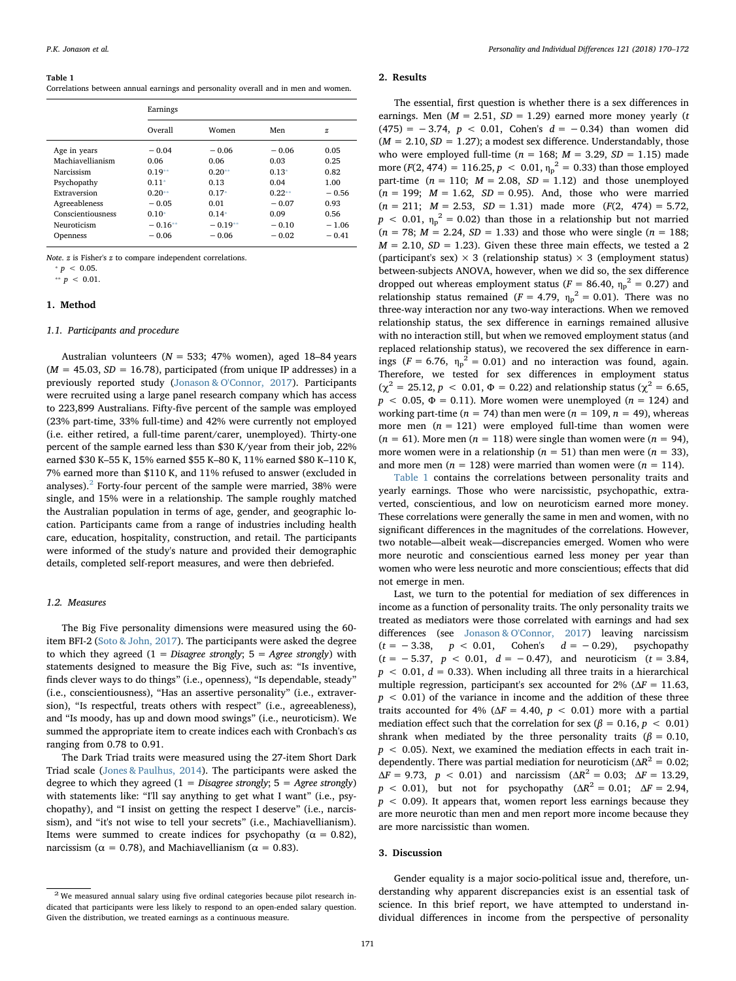#### <span id="page-1-1"></span>Table 1

Correlations between annual earnings and personality overall and in men and women.

|                   | Earnings  |           |          |              |
|-------------------|-----------|-----------|----------|--------------|
|                   | Overall   | Women     | Men      | $\mathbf{z}$ |
| Age in years      | $-0.04$   | $-0.06$   | $-0.06$  | 0.05         |
| Machiavellianism  | 0.06      | 0.06      | 0.03     | 0.25         |
| Narcissism        | $0.19**$  | $0.20**$  | $0.13*$  | 0.82         |
| Psychopathy       | $0.11*$   | 0.13      | 0.04     | 1.00         |
| Extraversion      | $0.20**$  | $0.17*$   | $0.22**$ | $-0.56$      |
| Agreeableness     | $-0.05$   | 0.01      | $-0.07$  | 0.93         |
| Conscientiousness | $0.10*$   | $0.14*$   | 0.09     | 0.56         |
| Neuroticism       | $-0.16**$ | $-0.19**$ | $-0.10$  | $-1.06$      |
| Openness          | $-0.06$   | $-0.06$   | $-0.02$  | $-0.41$      |

Note. z is Fisher's z to compare independent correlations.

<span id="page-1-3"></span> $p > 0.05$ .

<span id="page-1-2"></span>\*\*  $p < 0.01$ .

### 1. Method

#### 1.1. Participants and procedure

Australian volunteers ( $N = 533$ ; 47% women), aged 18–84 years  $(M = 45.03, SD = 16.78)$ , participated (from unique IP addresses) in a previously reported study [\(Jonason & O'Connor, 2017\)](#page-2-13). Participants were recruited using a large panel research company which has access to 223,899 Australians. Fifty-five percent of the sample was employed (23% part-time, 33% full-time) and 42% were currently not employed (i.e. either retired, a full-time parent/carer, unemployed). Thirty-one percent of the sample earned less than \$30 K/year from their job, 22% earned \$30 K–55 K, 15% earned \$55 K–80 K, 11% earned \$80 K–110 K, 7% earned more than \$110 K, and 11% refused to answer (excluded in analyses). $2$  Forty-four percent of the sample were married, 38% were single, and 15% were in a relationship. The sample roughly matched the Australian population in terms of age, gender, and geographic location. Participants came from a range of industries including health care, education, hospitality, construction, and retail. The participants were informed of the study's nature and provided their demographic details, completed self-report measures, and were then debriefed.

# 1.2. Measures

The Big Five personality dimensions were measured using the 60 item BFI-2 ([Soto & John, 2017](#page-2-14)). The participants were asked the degree to which they agreed  $(1 = Disagree \ strongly)$ ;  $5 = Agree \ strongly)$  with statements designed to measure the Big Five, such as: "Is inventive, finds clever ways to do things" (i.e., openness), "Is dependable, steady" (i.e., conscientiousness), "Has an assertive personality" (i.e., extraversion), "Is respectful, treats others with respect" (i.e., agreeableness), and "Is moody, has up and down mood swings" (i.e., neuroticism). We summed the appropriate item to create indices each with Cronbach's αs ranging from 0.78 to 0.91.

The Dark Triad traits were measured using the 27-item Short Dark Triad scale [\(Jones & Paulhus, 2014](#page-2-15)). The participants were asked the degree to which they agreed  $(1 = Disagree strongly; 5 = Agree strongly)$ with statements like: "I'll say anything to get what I want" (i.e., psychopathy), and "I insist on getting the respect I deserve" (i.e., narcissism), and "it's not wise to tell your secrets" (i.e., Machiavellianism). Items were summed to create indices for psychopathy ( $\alpha = 0.82$ ), narcissism ( $\alpha = 0.78$ ), and Machiavellianism ( $\alpha = 0.83$ ).

#### 2. Results

The essential, first question is whether there is a sex differences in earnings. Men ( $M = 2.51$ ,  $SD = 1.29$ ) earned more money yearly (t (475) =  $-3.74$ ,  $p < 0.01$ , Cohen's  $d = -0.34$ ) than women did  $(M = 2.10, SD = 1.27)$ ; a modest sex difference. Understandably, those who were employed full-time ( $n = 168$ ;  $M = 3.29$ ,  $SD = 1.15$ ) made more (*F*(2, 474) = 116.25,  $p < 0.01$ ,  $\eta_p^2 = 0.33$ ) than those employed part-time ( $n = 110$ ;  $M = 2.08$ ,  $SD = 1.12$ ) and those unemployed  $(n = 199; M = 1.62, SD = 0.95)$ . And, those who were married  $(n = 211; M = 2.53, SD = 1.31)$  made more  $(F(2, 474) = 5.72,$  $p < 0.01$ ,  $\eta_p^2 = 0.02$ ) than those in a relationship but not married  $(n = 78; M = 2.24, SD = 1.33)$  and those who were single  $(n = 188;$  $M = 2.10$ ,  $SD = 1.23$ ). Given these three main effects, we tested a 2 (participant's sex)  $\times$  3 (relationship status)  $\times$  3 (employment status) between-subjects ANOVA, however, when we did so, the sex difference dropped out whereas employment status ( $F = 86.40$ ,  $\eta_p^2 = 0.27$ ) and relationship status remained ( $F = 4.79$ ,  $\eta_p^2 = 0.01$ ). There was no three-way interaction nor any two-way interactions. When we removed relationship status, the sex difference in earnings remained allusive with no interaction still, but when we removed employment status (and replaced relationship status), we recovered the sex difference in earnings ( $F = 6.76$ ,  $\eta_p^2 = 0.01$ ) and no interaction was found, again. Therefore, we tested for sex differences in employment status  $(χ<sup>2</sup> = 25.12, p < 0.01, Φ = 0.22)$  and relationship status ( $χ<sup>2</sup> = 6.65,$  $p < 0.05$ ,  $\Phi = 0.11$ ). More women were unemployed ( $n = 124$ ) and working part-time ( $n = 74$ ) than men were ( $n = 109$ ,  $n = 49$ ), whereas more men  $(n = 121)$  were employed full-time than women were  $(n = 61)$ . More men  $(n = 118)$  were single than women were  $(n = 94)$ , more women were in a relationship ( $n = 51$ ) than men were ( $n = 33$ ), and more men ( $n = 128$ ) were married than women were ( $n = 114$ ).

[Table 1](#page-1-1) contains the correlations between personality traits and yearly earnings. Those who were narcissistic, psychopathic, extraverted, conscientious, and low on neuroticism earned more money. These correlations were generally the same in men and women, with no significant differences in the magnitudes of the correlations. However, two notable—albeit weak—discrepancies emerged. Women who were more neurotic and conscientious earned less money per year than women who were less neurotic and more conscientious; effects that did not emerge in men.

Last, we turn to the potential for mediation of sex differences in income as a function of personality traits. The only personality traits we treated as mediators were those correlated with earnings and had sex differences (see [Jonason & O'Connor, 2017](#page-2-13)) leaving narcissism  $(t = -3.38, p < 0.01,$  Cohen's  $d = -0.29$ ), psychopathy  $(t = -5.37, p < 0.01, d = -0.47)$ , and neuroticism  $(t = 3.84,$  $p < 0.01$ ,  $d = 0.33$ ). When including all three traits in a hierarchical multiple regression, participant's sex accounted for 2% ( $\Delta F = 11.63$ ,  $p < 0.01$ ) of the variance in income and the addition of these three traits accounted for 4% ( $\Delta F = 4.40$ ,  $p < 0.01$ ) more with a partial mediation effect such that the correlation for sex ( $\beta = 0.16$ ,  $p < 0.01$ ) shrank when mediated by the three personality traits ( $\beta = 0.10$ ,  $p$  < 0.05). Next, we examined the mediation effects in each trait independently. There was partial mediation for neuroticism ( $\Delta R^2 = 0.02$ ;  $\Delta F = 9.73$ ,  $p < 0.01$ ) and narcissism ( $\Delta R^2 = 0.03$ ;  $\Delta F = 13.29$ ,  $p < 0.01$ ), but not for psychopathy ( $\Delta R^2 = 0.01$ ;  $\Delta F = 2.94$ ,  $p < 0.09$ ). It appears that, women report less earnings because they are more neurotic than men and men report more income because they are more narcissistic than women.

#### 3. Discussion

Gender equality is a major socio-political issue and, therefore, understanding why apparent discrepancies exist is an essential task of science. In this brief report, we have attempted to understand individual differences in income from the perspective of personality

<span id="page-1-0"></span> $2$  We measured annual salary using five ordinal categories because pilot research indicated that participants were less likely to respond to an open-ended salary question. Given the distribution, we treated earnings as a continuous measure.